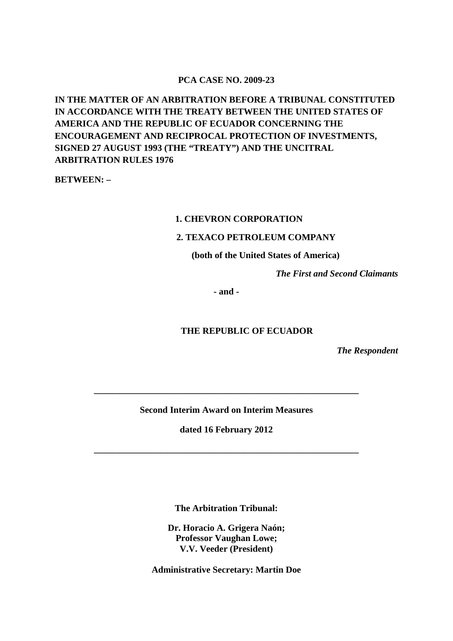### **PCA CASE NO. 2009-23**

**IN THE MATTER OF AN ARBITRATION BEFORE A TRIBUNAL CONSTITUTED IN ACCORDANCE WITH THE TREATY BETWEEN THE UNITED STATES OF AMERICA AND THE REPUBLIC OF ECUADOR CONCERNING THE ENCOURAGEMENT AND RECIPROCAL PROTECTION OF INVESTMENTS, SIGNED 27 AUGUST 1993 (THE "TREATY") AND THE UNCITRAL ARBITRATION RULES 1976**

**BETWEEN: –**

#### **1. CHEVRON CORPORATION**

### **2. TEXACO PETROLEUM COMPANY**

**(both of the United States of America)**

*The First and Second Claimants*

**- and -**

### **THE REPUBLIC OF ECUADOR**

*The Respondent*

**Second Interim Award on Interim Measures**

**\_\_\_\_\_\_\_\_\_\_\_\_\_\_\_\_\_\_\_\_\_\_\_\_\_\_\_\_\_\_\_\_\_\_\_\_\_\_\_\_\_\_\_\_\_\_\_\_\_\_\_\_\_\_\_\_\_\_**

**dated 16 February 2012**

**\_\_\_\_\_\_\_\_\_\_\_\_\_\_\_\_\_\_\_\_\_\_\_\_\_\_\_\_\_\_\_\_\_\_\_\_\_\_\_\_\_\_\_\_\_\_\_\_\_\_\_\_\_\_\_\_\_\_**

**The Arbitration Tribunal:**

**Dr. Horacio A. Grigera Naón; Professor Vaughan Lowe; V.V. Veeder (President)**

**Administrative Secretary: Martin Doe**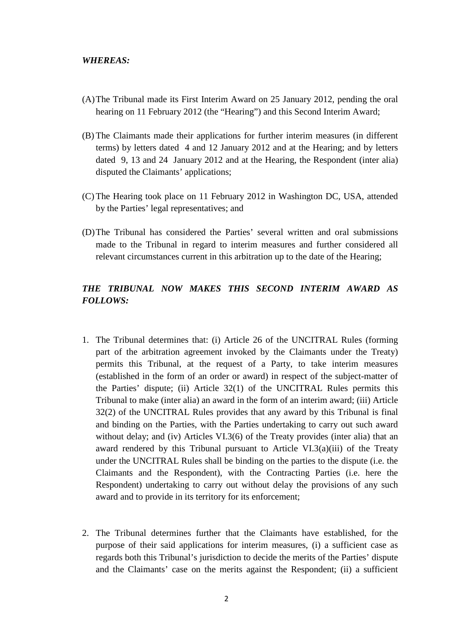- (A)The Tribunal made its First Interim Award on 25 January 2012, pending the oral hearing on 11 February 2012 (the "Hearing") and this Second Interim Award;
- (B) The Claimants made their applications for further interim measures (in different terms) by letters dated 4 and 12 January 2012 and at the Hearing; and by letters dated 9, 13 and 24 January 2012 and at the Hearing, the Respondent (inter alia) disputed the Claimants' applications;
- (C) The Hearing took place on 11 February 2012 in Washington DC, USA, attended by the Parties' legal representatives; and
- (D)The Tribunal has considered the Parties' several written and oral submissions made to the Tribunal in regard to interim measures and further considered all relevant circumstances current in this arbitration up to the date of the Hearing;

# *THE TRIBUNAL NOW MAKES THIS SECOND INTERIM AWARD AS FOLLOWS:*

- 1. The Tribunal determines that: (i) Article 26 of the UNCITRAL Rules (forming part of the arbitration agreement invoked by the Claimants under the Treaty) permits this Tribunal, at the request of a Party, to take interim measures (established in the form of an order or award) in respect of the subject-matter of the Parties' dispute; (ii) Article 32(1) of the UNCITRAL Rules permits this Tribunal to make (inter alia) an award in the form of an interim award; (iii) Article 32(2) of the UNCITRAL Rules provides that any award by this Tribunal is final and binding on the Parties, with the Parties undertaking to carry out such award without delay; and (iv) Articles VI.3(6) of the Treaty provides (inter alia) that an award rendered by this Tribunal pursuant to Article VI.3(a)(iii) of the Treaty under the UNCITRAL Rules shall be binding on the parties to the dispute (i.e. the Claimants and the Respondent), with the Contracting Parties (i.e. here the Respondent) undertaking to carry out without delay the provisions of any such award and to provide in its territory for its enforcement;
- 2. The Tribunal determines further that the Claimants have established, for the purpose of their said applications for interim measures, (i) a sufficient case as regards both this Tribunal's jurisdiction to decide the merits of the Parties' dispute and the Claimants' case on the merits against the Respondent; (ii) a sufficient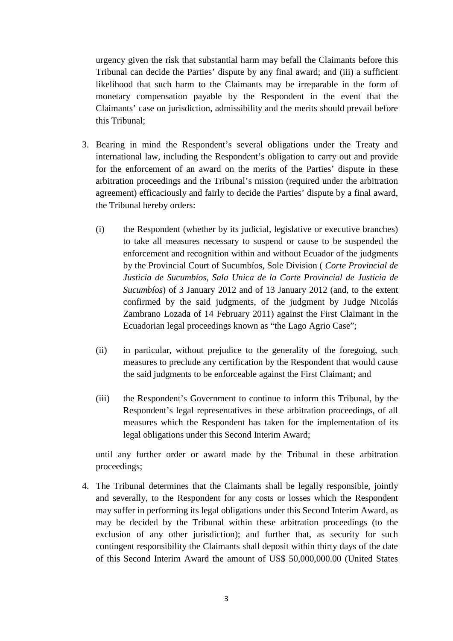urgency given the risk that substantial harm may befall the Claimants before this Tribunal can decide the Parties' dispute by any final award; and (iii) a sufficient likelihood that such harm to the Claimants may be irreparable in the form of monetary compensation payable by the Respondent in the event that the Claimants' case on jurisdiction, admissibility and the merits should prevail before this Tribunal;

- 3. Bearing in mind the Respondent's several obligations under the Treaty and international law, including the Respondent's obligation to carry out and provide for the enforcement of an award on the merits of the Parties' dispute in these arbitration proceedings and the Tribunal's mission (required under the arbitration agreement) efficaciously and fairly to decide the Parties' dispute by a final award, the Tribunal hereby orders:
	- (i) the Respondent (whether by its judicial, legislative or executive branches) to take all measures necessary to suspend or cause to be suspended the enforcement and recognition within and without Ecuador of the judgments by the Provincial Court of Sucumbíos, Sole Division ( *Corte Provincial de Justicia de Sucumbíos, Sala Unica de la Corte Provincial de Justicia de Sucumbíos*) of 3 January 2012 and of 13 January 2012 (and, to the extent confirmed by the said judgments, of the judgment by Judge Nicolás Zambrano Lozada of 14 February 2011) against the First Claimant in the Ecuadorian legal proceedings known as "the Lago Agrio Case";
	- (ii) in particular, without prejudice to the generality of the foregoing, such measures to preclude any certification by the Respondent that would cause the said judgments to be enforceable against the First Claimant; and
	- (iii) the Respondent's Government to continue to inform this Tribunal, by the Respondent's legal representatives in these arbitration proceedings, of all measures which the Respondent has taken for the implementation of its legal obligations under this Second Interim Award;

until any further order or award made by the Tribunal in these arbitration proceedings;

4. The Tribunal determines that the Claimants shall be legally responsible, jointly and severally, to the Respondent for any costs or losses which the Respondent may suffer in performing its legal obligations under this Second Interim Award, as may be decided by the Tribunal within these arbitration proceedings (to the exclusion of any other jurisdiction); and further that, as security for such contingent responsibility the Claimants shall deposit within thirty days of the date of this Second Interim Award the amount of US\$ 50,000,000.00 (United States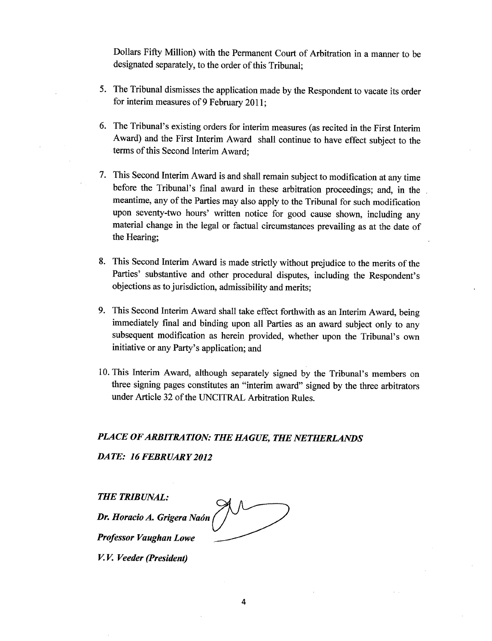Dollars Fifty Million) with the Permanent Court of Arbitration in a manner to be designated separately, to the order of this Tribunal;

- 5. The Tribunal dismisses the application made by the Respondent to vacate its order for interim measures of 9 February 2011;
- 6. The Tribunal's existing orders for interim measures (as recited in the First Interim Award) and the First Interim Award shall continue to have effect subject to the terms of this Second Interim Award;
- 7. This Second Interim Award is and shall remain subject to modification at any time before the Tribunal's final award in these arbitration proceedings; and, in the meantime, any of the Parties may also apply to the Tribunal for such modification upon seventy-two hours' written notice for good cause shown, including any material change in the legal or factual circumstances prevailing as at the date of the Hearing;
- 8. This Second Interim Award is made strictly without prejudice to the merits of the Parties' substantive and other procedural disputes, including the Respondent's objections as to jurisdiction, admissibility and merits;
- 9. This Second Interim Award shall take effect forthwith as an Interim Award, being immediately final and binding upon all Parties as an award subject only to any subsequent modification as herein provided, whether upon the Tribunal's own initiative or any Party's application; and
- 10. This Interim Award, although separately signed by the Tribunal's members on three signing pages constitutes an "interim award" signed by the three arbitrators under Article 32 of the UNCITRAL Arbitration Rules.

### PLACE OF ARBITRATION: THE HAGUE, THE NETHERLANDS

DATE: 16 FEBRUARY 2012

**THE TRIBUNAL:** Dr. Horacio A. Grigera Naón **Professor Vaughan Lowe** 

V.V. Veeder (President)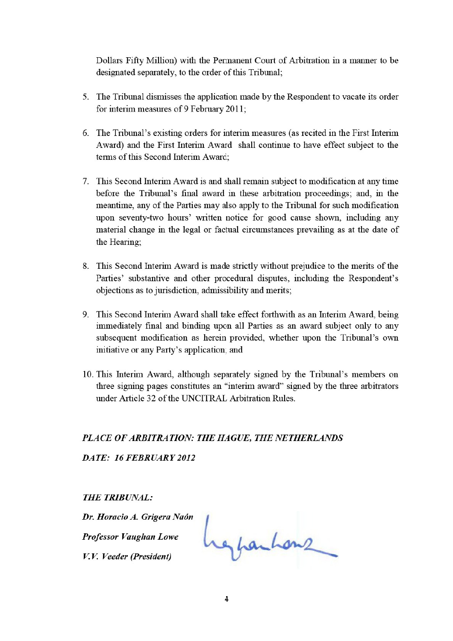Dollars Fifty Million) with the Permanent Court of Arbitration in a manner to be designated separately, to the order of this Tribunal;

- 5. The Tribunal dismisses the application made by the Respondent to vacate its order for interim measures of 9 February 2011;
- 6. The Tribunal's existing orders for interim measures (as recited in the First Interim Award) and the First Interim Award shall continue to have effect subject to the terms of this Second Interim Award:
- 7. This Second Interim Award is and shall remain subject to modification at any time before the Tribunal's final award in these arbitration proceedings; and, in the meantime, any of the Parties may also apply to the Tribunal for such modification upon seventy-two hours' written notice for good cause shown, including any material change in the legal or factual circumstances prevailing as at the date of the Hearing:
- 8. This Second Interim Award is made strictly without prejudice to the merits of the Parties' substantive and other procedural disputes, including the Respondent's objections as to jurisdiction, admissibility and merits;
- 9. This Second Interim Award shall take effect forthwith as an Interim Award, being immediately final and binding upon all Parties as an award subject only to any subsequent modification as herein provided, whether upon the Tribunal's own initiative or any Party's application; and
- 10. This Interim Award, although separately signed by the Tribunal's members on three signing pages constitutes an "interim award" signed by the three arbitrators under Article 32 of the UNCITRAL Arbitration Rules.

## PLACE OF ARBITRATION: THE HAGUE, THE NETHERLANDS

DATE: 16 FEBRUARY 2012

**THE TRIBUNAL:** 

Dr. Horacio A. Grigera Naón Professor Vaughan Lowe

V.V. Veeder (President)

responhens